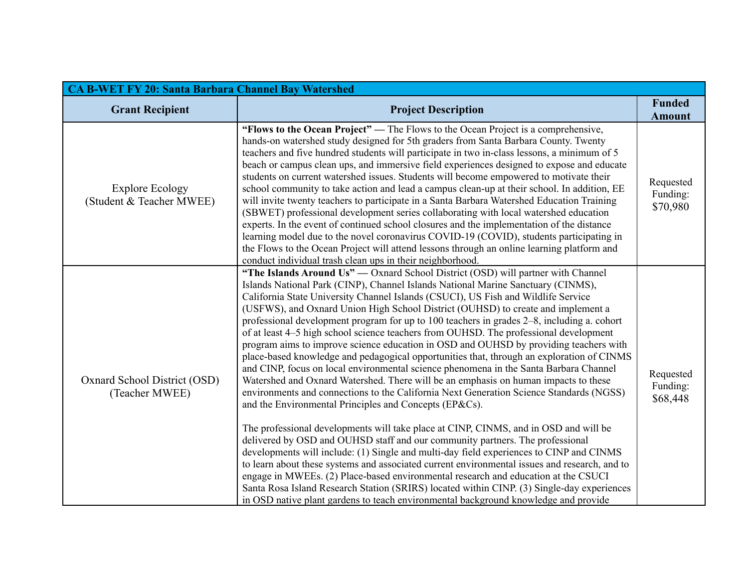| <b>CA B-WET FY 20: Santa Barbara Channel Bay Watershed</b> |                                                                                                                                                                                                                                                                                                                                                                                                                                                                                                                                                                                                                                                                                                                                                                                                                                                                                                                                                                                                                                                                                                                                                                                                                                                                                                                                                                                                                                                                                                                                                                                                                                                                                                                 |                                   |  |
|------------------------------------------------------------|-----------------------------------------------------------------------------------------------------------------------------------------------------------------------------------------------------------------------------------------------------------------------------------------------------------------------------------------------------------------------------------------------------------------------------------------------------------------------------------------------------------------------------------------------------------------------------------------------------------------------------------------------------------------------------------------------------------------------------------------------------------------------------------------------------------------------------------------------------------------------------------------------------------------------------------------------------------------------------------------------------------------------------------------------------------------------------------------------------------------------------------------------------------------------------------------------------------------------------------------------------------------------------------------------------------------------------------------------------------------------------------------------------------------------------------------------------------------------------------------------------------------------------------------------------------------------------------------------------------------------------------------------------------------------------------------------------------------|-----------------------------------|--|
| <b>Grant Recipient</b>                                     | <b>Project Description</b>                                                                                                                                                                                                                                                                                                                                                                                                                                                                                                                                                                                                                                                                                                                                                                                                                                                                                                                                                                                                                                                                                                                                                                                                                                                                                                                                                                                                                                                                                                                                                                                                                                                                                      | <b>Funded</b><br><b>Amount</b>    |  |
| <b>Explore Ecology</b><br>(Student & Teacher MWEE)         | "Flows to the Ocean Project" — The Flows to the Ocean Project is a comprehensive,<br>hands-on watershed study designed for 5th graders from Santa Barbara County. Twenty<br>teachers and five hundred students will participate in two in-class lessons, a minimum of 5<br>beach or campus clean ups, and immersive field experiences designed to expose and educate<br>students on current watershed issues. Students will become empowered to motivate their<br>school community to take action and lead a campus clean-up at their school. In addition, EE<br>will invite twenty teachers to participate in a Santa Barbara Watershed Education Training<br>(SBWET) professional development series collaborating with local watershed education<br>experts. In the event of continued school closures and the implementation of the distance<br>learning model due to the novel coronavirus COVID-19 (COVID), students participating in<br>the Flows to the Ocean Project will attend lessons through an online learning platform and<br>conduct individual trash clean ups in their neighborhood.                                                                                                                                                                                                                                                                                                                                                                                                                                                                                                                                                                                                          | Requested<br>Funding:<br>\$70,980 |  |
| Oxnard School District (OSD)<br>(Teacher MWEE)             | "The Islands Around Us" — Oxnard School District (OSD) will partner with Channel<br>Islands National Park (CINP), Channel Islands National Marine Sanctuary (CINMS),<br>California State University Channel Islands (CSUCI), US Fish and Wildlife Service<br>(USFWS), and Oxnard Union High School District (OUHSD) to create and implement a<br>professional development program for up to 100 teachers in grades 2–8, including a. cohort<br>of at least 4–5 high school science teachers from OUHSD. The professional development<br>program aims to improve science education in OSD and OUHSD by providing teachers with<br>place-based knowledge and pedagogical opportunities that, through an exploration of CINMS<br>and CINP, focus on local environmental science phenomena in the Santa Barbara Channel<br>Watershed and Oxnard Watershed. There will be an emphasis on human impacts to these<br>environments and connections to the California Next Generation Science Standards (NGSS)<br>and the Environmental Principles and Concepts (EP&Cs).<br>The professional developments will take place at CINP, CINMS, and in OSD and will be<br>delivered by OSD and OUHSD staff and our community partners. The professional<br>developments will include: (1) Single and multi-day field experiences to CINP and CINMS<br>to learn about these systems and associated current environmental issues and research, and to<br>engage in MWEEs. (2) Place-based environmental research and education at the CSUCI<br>Santa Rosa Island Research Station (SRIRS) located within CINP. (3) Single-day experiences<br>in OSD native plant gardens to teach environmental background knowledge and provide | Requested<br>Funding:<br>\$68,448 |  |